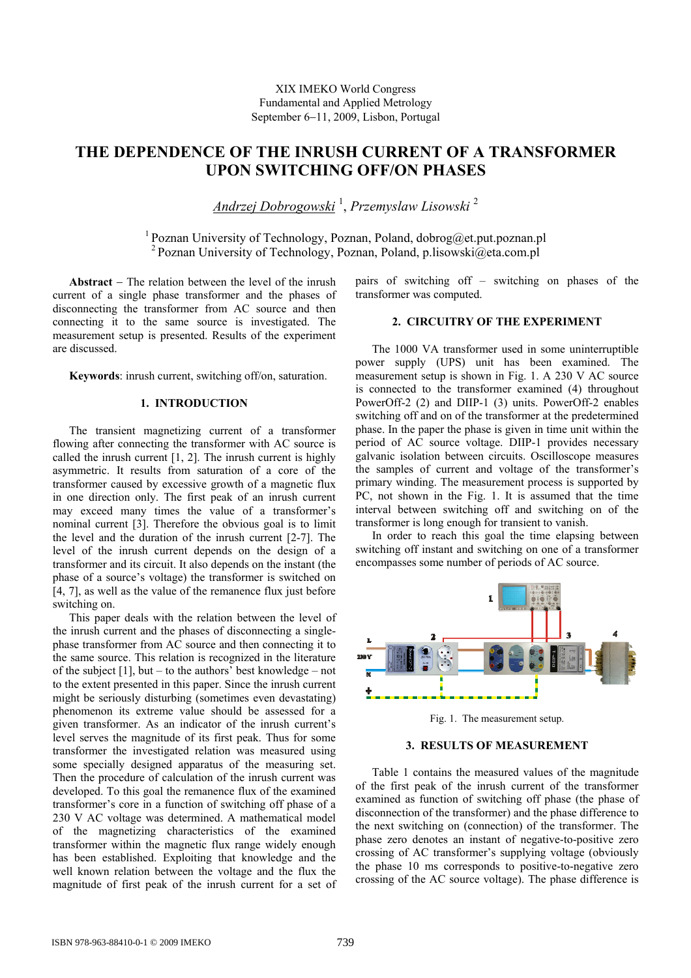XIX IMEKO World Congress Fundamental and Applied Metrology September 6−11, 2009, Lisbon, Portugal

# **THE DEPENDENCE OF THE INRUSH CURRENT OF A TRANSFORMER UPON SWITCHING OFF/ON PHASES**

*Andrzej Dobrogowski* <sup>1</sup> , *Przemyslaw Lisowski* <sup>2</sup>

1 Poznan University of Technology, Poznan, Poland, dobrog@et.put.poznan.pl <sup>2</sup> Poznan University of Technology, Poznan, Poland, p.lisowski@eta.com.pl

**Abstract** − The relation between the level of the inrush current of a single phase transformer and the phases of disconnecting the transformer from AC source and then connecting it to the same source is investigated. The measurement setup is presented. Results of the experiment are discussed.

**Keywords**: inrush current, switching off/on, saturation.

#### **1. INTRODUCTION**

The transient magnetizing current of a transformer flowing after connecting the transformer with AC source is called the inrush current [1, 2]. The inrush current is highly asymmetric. It results from saturation of a core of the transformer caused by excessive growth of a magnetic flux in one direction only. The first peak of an inrush current may exceed many times the value of a transformer's nominal current [3]. Therefore the obvious goal is to limit the level and the duration of the inrush current [2-7]. The level of the inrush current depends on the design of a transformer and its circuit. It also depends on the instant (the phase of a source's voltage) the transformer is switched on [4, 7], as well as the value of the remanence flux just before switching on.

This paper deals with the relation between the level of the inrush current and the phases of disconnecting a singlephase transformer from AC source and then connecting it to the same source. This relation is recognized in the literature of the subject  $[1]$ , but – to the authors' best knowledge – not to the extent presented in this paper. Since the inrush current might be seriously disturbing (sometimes even devastating) phenomenon its extreme value should be assessed for a given transformer. As an indicator of the inrush current's level serves the magnitude of its first peak. Thus for some transformer the investigated relation was measured using some specially designed apparatus of the measuring set. Then the procedure of calculation of the inrush current was developed. To this goal the remanence flux of the examined transformer's core in a function of switching off phase of a 230 V AC voltage was determined. A mathematical model of the magnetizing characteristics of the examined transformer within the magnetic flux range widely enough has been established. Exploiting that knowledge and the well known relation between the voltage and the flux the magnitude of first peak of the inrush current for a set of pairs of switching off – switching on phases of the transformer was computed.

#### **2. CIRCUITRY OF THE EXPERIMENT**

The 1000 VA transformer used in some uninterruptible power supply (UPS) unit has been examined. The measurement setup is shown in Fig. 1. A 230 V AC source is connected to the transformer examined (4) throughout PowerOff-2 (2) and DIIP-1 (3) units. PowerOff-2 enables switching off and on of the transformer at the predetermined phase. In the paper the phase is given in time unit within the period of AC source voltage. DIIP-1 provides necessary galvanic isolation between circuits. Oscilloscope measures the samples of current and voltage of the transformer's primary winding. The measurement process is supported by PC, not shown in the Fig. 1. It is assumed that the time interval between switching off and switching on of the transformer is long enough for transient to vanish.

In order to reach this goal the time elapsing between switching off instant and switching on one of a transformer encompasses some number of periods of AC source.



Fig. 1. The measurement setup.

### **3. RESULTS OF MEASUREMENT**

Table 1 contains the measured values of the magnitude of the first peak of the inrush current of the transformer examined as function of switching off phase (the phase of disconnection of the transformer) and the phase difference to the next switching on (connection) of the transformer. The phase zero denotes an instant of negative-to-positive zero crossing of AC transformer's supplying voltage (obviously the phase 10 ms corresponds to positive-to-negative zero crossing of the AC source voltage). The phase difference is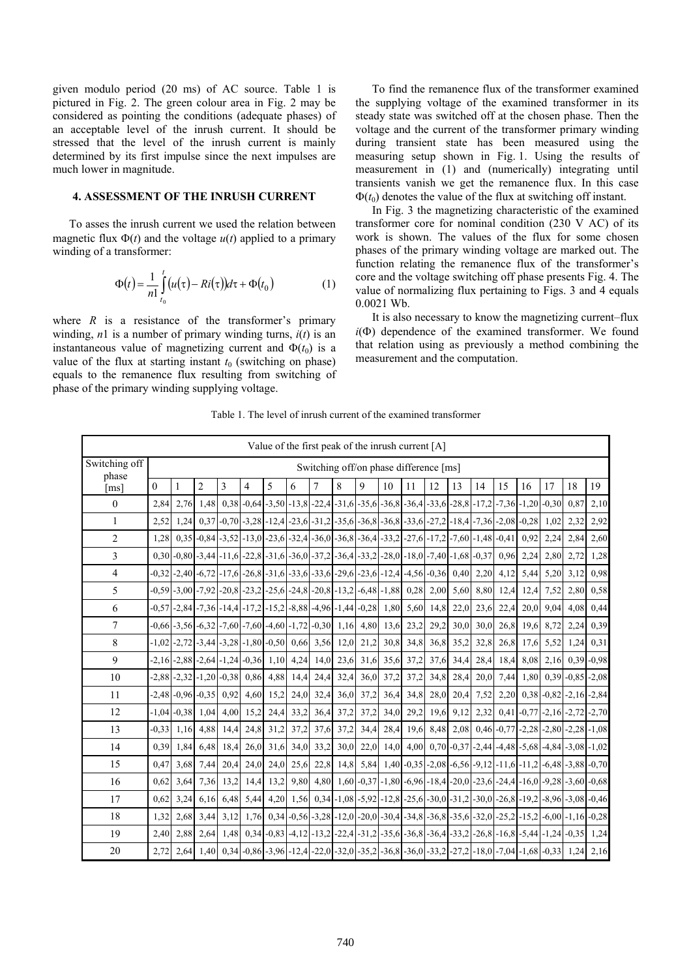given modulo period (20 ms) of AC source. Table 1 is pictured in Fig. 2. The green colour area in Fig. 2 may be considered as pointing the conditions (adequate phases) of an acceptable level of the inrush current. It should be stressed that the level of the inrush current is mainly determined by its first impulse since the next impulses are much lower in magnitude.

## **4. ASSESSMENT OF THE INRUSH CURRENT**

To asses the inrush current we used the relation between magnetic flux  $\Phi(t)$  and the voltage  $u(t)$  applied to a primary winding of a transformer:

$$
\Phi(t) = \frac{1}{n!} \int_{t_0}^t (u(\tau) - Ri(\tau)) d\tau + \Phi(t_0)
$$
 (1)

where  $R$  is a resistance of the transformer's primary winding,  $n1$  is a number of primary winding turns,  $i(t)$  is an instantaneous value of magnetizing current and  $\Phi(t_0)$  is a value of the flux at starting instant  $t_0$  (switching on phase) equals to the remanence flux resulting from switching of phase of the primary winding supplying voltage.

To find the remanence flux of the transformer examined the supplying voltage of the examined transformer in its steady state was switched off at the chosen phase. Then the voltage and the current of the transformer primary winding during transient state has been measured using the measuring setup shown in Fig. 1. Using the results of measurement in (1) and (numerically) integrating until transients vanish we get the remanence flux. In this case  $\Phi(t_0)$  denotes the value of the flux at switching off instant.

In Fig. 3 the magnetizing characteristic of the examined transformer core for nominal condition (230 V AC) of its work is shown. The values of the flux for some chosen phases of the primary winding voltage are marked out. The function relating the remanence flux of the transformer's core and the voltage switching off phase presents Fig. 4. The value of normalizing flux pertaining to Figs. 3 and 4 equals 0.0021 Wb.

It is also necessary to know the magnetizing current–flux  $i(\Phi)$  dependence of the examined transformer. We found that relation using as previously a method combining the measurement and the computation.

Table 1. The level of inrush current of the examined transformer

|                        | Value of the first peak of the inrush current [A] |                                 |                |      |                                                                                                                                      |      |                     |           |      |      |      |      |                |      |      |      |                                                                                                                                      |                                   |                    |      |
|------------------------|---------------------------------------------------|---------------------------------|----------------|------|--------------------------------------------------------------------------------------------------------------------------------------|------|---------------------|-----------|------|------|------|------|----------------|------|------|------|--------------------------------------------------------------------------------------------------------------------------------------|-----------------------------------|--------------------|------|
| Switching off<br>phase | Switching off/on phase difference [ms]            |                                 |                |      |                                                                                                                                      |      |                     |           |      |      |      |      |                |      |      |      |                                                                                                                                      |                                   |                    |      |
| $\lceil ms \rceil$     | $\boldsymbol{0}$                                  | $\mathbf{1}$                    | $\overline{c}$ | 3    | $\overline{4}$                                                                                                                       | 5    | 6                   | 7         | 8    | 9    | 10   | 11   | 12             | 13   | 14   | 15   | 16                                                                                                                                   | 17                                | 18                 | 19   |
| $\mathbf{0}$           | 2.84                                              | 2,76                            | 1.48           |      |                                                                                                                                      |      |                     |           |      |      |      |      |                |      |      |      | $0,38$ -0,64 -3,50 -13,8 -22,4 -31,6 -35,6 -36,8 -36,4 -33,6 -28,8 -17,2 -7,36 -1,20 -0,30                                           |                                   | 0.87               | 2,10 |
| $\mathbf{1}$           | 2.52                                              | 1.24                            |                |      |                                                                                                                                      |      |                     |           |      |      |      |      |                |      |      |      | $0,37$ - $0,70$ - $3,28$ - $12,4$ - $23,6$ - $31,2$ - $35,6$ - $36,8$ - $36,8$ - $33,6$ - $27,2$ - $18,4$ - $7,36$ - $2,08$ - $0,28$ | 1,02                              | 2,32               | 2,92 |
| $\overline{2}$         | 1.28                                              |                                 |                |      | $0,35$ - $0,84$ - $3,52$ - $13,0$ - $23,6$ - $32,4$ - $36,0$ - $36,8$ - $36,4$ - $33,2$ - $27,6$ - $17,2$ - $7,60$ - $1,48$ - $0,41$ |      |                     |           |      |      |      |      |                |      |      |      | 0.92                                                                                                                                 | 2,24                              | 2,84               | 2,60 |
| 3                      |                                                   |                                 |                |      | $0,30$ - $0,80$ - $3,44$ - $11,6$ - $22,8$ - $31,6$ - $36,0$ - $37,2$ - $36,4$ - $33,2$ - $28,0$ - $18,0$ - $7,40$ - $1,68$ - $0,37$ |      |                     |           |      |      |      |      |                |      |      |      | $0,96$ 2,24                                                                                                                          | 2,80                              | 2,72               | 1,28 |
| $\overline{4}$         | $-0.32$                                           |                                 |                |      | $-2,40$ $-6,72$ $-17,6$ $-26,8$ $-31,6$ $-33,6$ $-33,6$ $-29,6$ $-23,6$ $-12,4$ $-4,56$ $-0,36$                                      |      |                     |           |      |      |      |      |                | 0,40 | 2,20 | 4,12 | 5,44                                                                                                                                 | 5,20                              | 3,12               | 0.98 |
| 5                      |                                                   |                                 |                |      | $-0.59$ $-3.00$ $-7.92$ $-20.8$ $-23.2$ $-25.6$ $-24.8$ $-20.8$ $-13.2$ $-6.48$ $-1.88$ $-0.28$ $-2.00$                              |      |                     |           |      |      |      |      |                | 5,60 | 8,80 | 12,4 | 12,4                                                                                                                                 | 7,52                              | 2,80               | 0,58 |
| 6                      |                                                   |                                 |                |      | $-0.57$ $-2.84$ $-7.36$ $-14.4$ $-17.2$ $-15.2$ $-8.88$ $-4.96$ $-1.44$ $-0.28$                                                      |      |                     |           |      |      | 1,80 |      | 5,60 14,8      | 22,0 | 23,6 | 22,4 | 20,0                                                                                                                                 | 9,04                              | 4,08               | 0,44 |
| 7                      |                                                   |                                 |                |      | $-0.66$ -3,56 -6,32 -7,60 -7,60 -4,60 -1,72 -0,30 1,16 4,80                                                                          |      |                     |           |      |      | 13,6 | 23,2 | 29,2           | 30,0 | 30,0 | 26,8 | 19,6                                                                                                                                 | 8,72                              | 2,24               | 0,39 |
| 8                      | $-1.02$                                           |                                 |                |      | $-2,72$ $-3,44$ $-3,28$ $-1,80$ $-0,50$ $0,66$ $3,56$                                                                                |      |                     |           | 12,0 | 21,2 | 30,8 | 34,8 | 36,8           | 35,2 | 32,8 | 26,8 | 17,6                                                                                                                                 | 5,52                              | 1,24               | 0,31 |
| 9                      |                                                   |                                 |                |      | $-2,16$ $-2,88$ $-2,64$ $-1,24$ $-0,36$                                                                                              | 1,10 | 4,24                | 14,0      | 23,6 | 31,6 | 35,6 | 37,2 | 37,6           | 34,4 | 28,4 | 18,4 | 8,08                                                                                                                                 | 2,16                              | $0,39 - 0,98$      |      |
| 10                     |                                                   | $-2,88$ $-2,32$ $-1,20$ $-0,38$ |                |      | 0,86                                                                                                                                 | 4,88 | 14,4                | 24,4      | 32,4 | 36,0 | 37,2 | 37,2 | 34,8           | 28,4 | 20,0 | 7,44 | 1,80                                                                                                                                 |                                   | $0,39$ -0,85 -2,08 |      |
| 11                     |                                                   | $-2,48$ $-0.96$ $-0.35$         |                | 0,92 | 4,60                                                                                                                                 | 15,2 |                     | 24,0 32,4 | 36,0 | 37,2 | 36,4 | 34,8 | 28,0           | 20,4 | 7,52 | 2,20 |                                                                                                                                      | $0,38$ - $0,82$ - $2,16$ - $2,84$ |                    |      |
| 12                     |                                                   | $-1,04$ $-0,38$                 | 1,04           |      | $4,00$ 15,2                                                                                                                          | 24,4 | 33,2                | 36,4      | 37,2 | 37,2 | 34,0 | 29,2 | 19,6           | 9,12 | 2,32 |      | $0,41$ -0,77 -2,16 -2,72 -2,70                                                                                                       |                                   |                    |      |
| 13                     | $-0.33$                                           | 1,16                            | 4,88           | 14,4 | 24,8                                                                                                                                 | 31,2 | 37,2                | 37,6      | 37,2 | 34,4 |      |      | 28,4 19,6 8,48 | 2,08 |      |      | $0,46$ -0.77 -2.28 -2.80 -2.28 -1.08                                                                                                 |                                   |                    |      |
| 14                     | 0.39                                              | 1,84                            | 6,48           | 18,4 |                                                                                                                                      |      | 26,0 31,6 34,0 33,2 |           | 30,0 | 22,0 |      |      |                |      |      |      | $14,0$ 4,00 0,70 -0,37 -2,44 -4,48 -5,68 -4,84 -3,08 -1,02                                                                           |                                   |                    |      |
| 15                     | 0,47                                              | 3,68                            | 7,44           | 20,4 | 24,0                                                                                                                                 | 24,0 | 25,6                | 22,8      | 14,8 |      |      |      |                |      |      |      | $5,84$   1,40 - 0,35 - 2,08 - 6,56 - 9,12 - 11,6 - 11,2 - 6,48 - 3,88 - 0,70                                                         |                                   |                    |      |
| 16                     | 0.62                                              | 3,64                            | 7,36           | 13,2 | 14,4                                                                                                                                 | 13,2 |                     |           |      |      |      |      |                |      |      |      | 9,80 4,80 1,60 -0,37 -1,80 -6,96 -18,4 -20,0 -23,6 -24,4 -16,0 -9,28 -3,60 -0,68                                                     |                                   |                    |      |
| 17                     | 0.62                                              | 3,24                            | 6,16           | 6,48 | 5,44                                                                                                                                 |      |                     |           |      |      |      |      |                |      |      |      | 4,20 1,56 0,34 -1,08 -5,92 -12,8 -25,6 -30,0 -31,2 -30,0 -26,8 -19,2 -8,96 -3,08 -0,46                                               |                                   |                    |      |
| 18                     | 1,32                                              | 2,68                            | 3,44           | 3,12 |                                                                                                                                      |      |                     |           |      |      |      |      |                |      |      |      | $1,76$   0,34   -0,56   -3,28   -12,0   -20,0   -30,4   -34,8   -36,8   -35,6   -32,0   -25,2   -15,2   -6,00   -1,16   -0,28        |                                   |                    |      |
| 19                     | 2,40                                              | 2,88                            | 2,64           |      |                                                                                                                                      |      |                     |           |      |      |      |      |                |      |      |      | $1,48$   0,34 -0,83 -4,12 -13,2 -22,4 -31,2 -35,6 -36,8 -36,4 -33,2 -26,8 -16,8 -5,44 -1,24 -0,35                                    |                                   |                    | 1,24 |
| 20                     | 2.72                                              | 2.64                            | 1.40           |      |                                                                                                                                      |      |                     |           |      |      |      |      |                |      |      |      | $0,34$ $-0,86$ $-3,96$ $-12,4$ $-22,0$ $-32,0$ $-35,2$ $-36,8$ $-36,0$ $-33,2$ $-27,2$ $-18,0$ $-7,04$ $-1,68$ $-0,33$ $1,24$        |                                   |                    | 2,16 |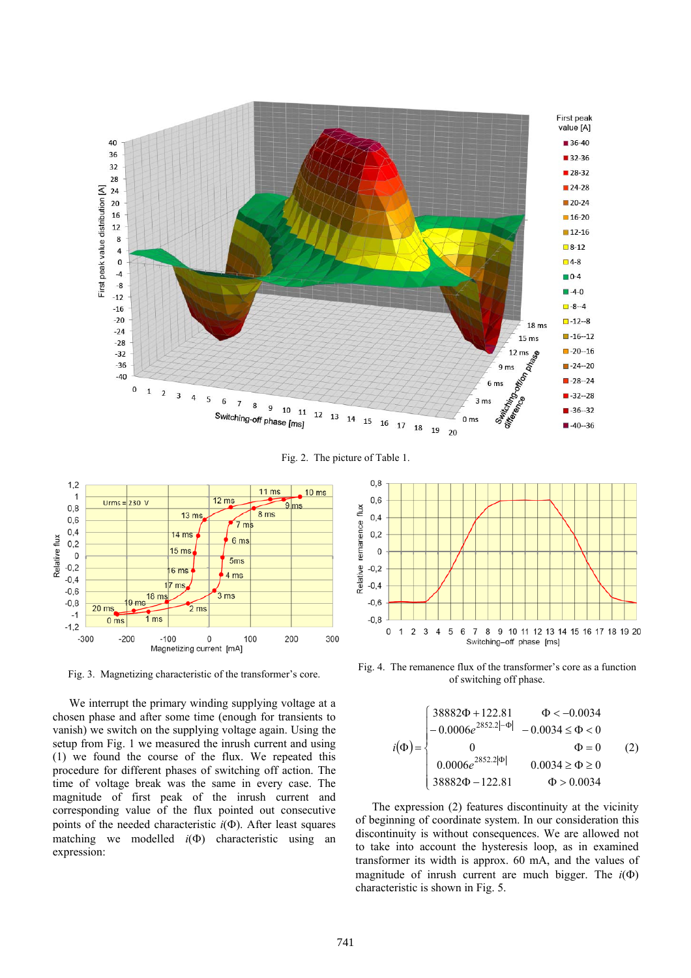

Fig. 2. The picture of Table 1.



We interrupt the primary winding supplying voltage at a chosen phase and after some time (enough for transients to vanish) we switch on the supplying voltage again. Using the setup from Fig. 1 we measured the inrush current and using (1) we found the course of the flux. We repeated this procedure for different phases of switching off action. The time of voltage break was the same in every case. The magnitude of first peak of the inrush current and corresponding value of the flux pointed out consecutive points of the needed characteristic *i*(Φ). After least squares matching we modelled *i*(Φ) characteristic using an expression:



Fig. 3. Magnetizing characteristic of the transformer's core. Fig. 4. The remanence flux of the transformer's core as a function of suitabing of the transformer's core as a function of switching off phase.

$$
i(\Phi) = \begin{cases} 38882\Phi + 122.81 & \Phi < -0.0034 \\ -0.0006e^{2852.2[-\Phi]} & -0.0034 \le \Phi < 0 \\ 0 & \Phi = 0 \\ 0.0006e^{2852.2[\Phi]} & 0.0034 \ge \Phi \ge 0 \\ 38882\Phi - 122.81 & \Phi > 0.0034 \end{cases}
$$
 (2)

The expression (2) features discontinuity at the vicinity of beginning of coordinate system. In our consideration this discontinuity is without consequences. We are allowed not to take into account the hysteresis loop, as in examined transformer its width is approx. 60 mA, and the values of magnitude of inrush current are much bigger. The  $i(\Phi)$ characteristic is shown in Fig. 5.